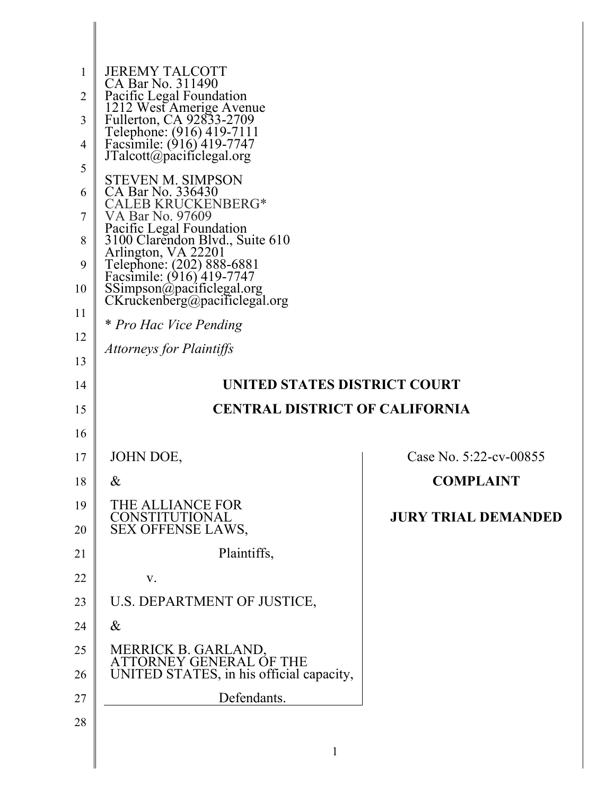| 1              | <b>JEREMY TALCOTT</b>                                                                   |                            |
|----------------|-----------------------------------------------------------------------------------------|----------------------------|
| $\overline{2}$ | CA Bar No. 311490<br>Pacific Legal Foundation                                           |                            |
| 3              | 1212 West Amerige Avenue<br>Fullerton, CA 92833-2709                                    |                            |
| $\overline{4}$ | Telephone: (916) 419-7111<br>Facsimile: (916) 419-7747                                  |                            |
| 5              | JTalcott@pacificlegal.org                                                               |                            |
| 6              | <b>STEVEN M. SIMPSON</b><br>CA Bar No. 336430                                           |                            |
| 7              | ALEB KRUCKENBERG*<br>VA Bar No. 97609                                                   |                            |
| 8              | Pacific Legal Foundation<br>3100 Clarendon Blvd., Suite 610                             |                            |
| 9              | Arlington, VA 22201<br>Telephone: (202) 888-6881                                        |                            |
| 10             | Facsimile: (916) 419-7747<br>SSimpson@pacificlegal.org<br>CKruckenberg@pacificlegal.org |                            |
| 11             |                                                                                         |                            |
| 12             | * Pro Hac Vice Pending                                                                  |                            |
| 13             | <b>Attorneys for Plaintiffs</b>                                                         |                            |
| 14             | UNITED STATES DISTRICT COURT                                                            |                            |
| 15             | <b>CENTRAL DISTRICT OF CALIFORNIA</b>                                                   |                            |
| 16             |                                                                                         |                            |
| 17             | JOHN DOE,                                                                               | Case No. 5:22-cv-00855     |
| 18             | $\&$                                                                                    | <b>COMPLAINT</b>           |
| 19<br>20       | THE ALLIANCE FOR<br>CONSTITUTIONAL<br>SEX OFFENSE LAWS,                                 | <b>JURY TRIAL DEMANDED</b> |
| 21             | Plaintiffs,                                                                             |                            |
| 22             |                                                                                         |                            |
|                | V.                                                                                      |                            |
| 23             | U.S. DEPARTMENT OF JUSTICE,                                                             |                            |
| 24             | $\&$                                                                                    |                            |
| 25<br>26       | MERRICK B. GARLAND, ATTORNEY GENERAL OF THE<br>UNITED STATES, in his official capacity, |                            |
| 27             | Defendants.                                                                             |                            |

║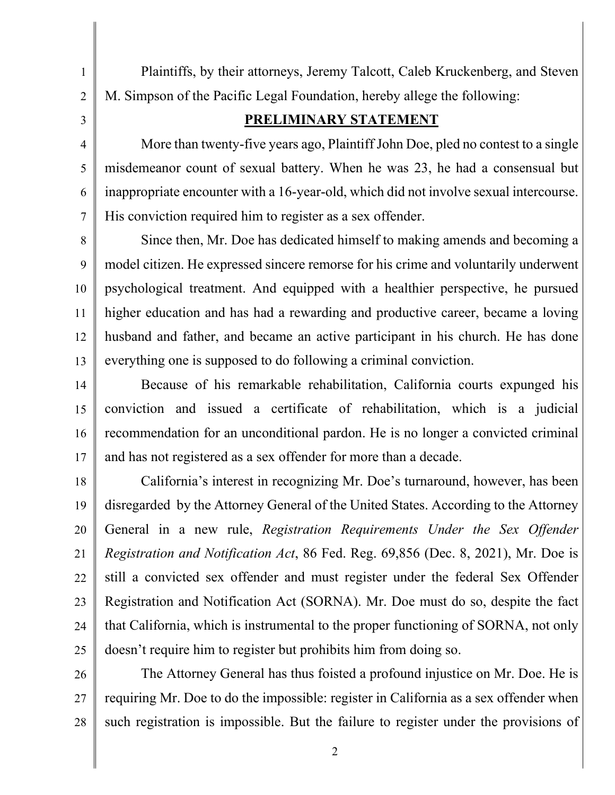Plaintiffs, by their attorneys, Jeremy Talcott, Caleb Kruckenberg, and Steven M. Simpson of the Pacific Legal Foundation, hereby allege the following:

#### **PRELIMINARY STATEMENT**

More than twenty-five years ago, Plaintiff John Doe, pled no contest to a single misdemeanor count of sexual battery. When he was 23, he had a consensual but inappropriate encounter with a 16-year-old, which did not involve sexual intercourse. His conviction required him to register as a sex offender.

8 9 10 11 12 13 Since then, Mr. Doe has dedicated himself to making amends and becoming a model citizen. He expressed sincere remorse for his crime and voluntarily underwent psychological treatment. And equipped with a healthier perspective, he pursued higher education and has had a rewarding and productive career, became a loving husband and father, and became an active participant in his church. He has done everything one is supposed to do following a criminal conviction.

14 15 16 17 Because of his remarkable rehabilitation, California courts expunged his conviction and issued a certificate of rehabilitation, which is a judicial recommendation for an unconditional pardon. He is no longer a convicted criminal and has not registered as a sex offender for more than a decade.

18 19 20 21 22 23 24 25 California's interest in recognizing Mr. Doe's turnaround, however, has been disregarded by the Attorney General of the United States. According to the Attorney General in a new rule, *Registration Requirements Under the Sex Offender Registration and Notification Act*, 86 Fed. Reg. 69,856 (Dec. 8, 2021), Mr. Doe is still a convicted sex offender and must register under the federal Sex Offender Registration and Notification Act (SORNA). Mr. Doe must do so, despite the fact that California, which is instrumental to the proper functioning of SORNA, not only doesn't require him to register but prohibits him from doing so.

26 27 28 The Attorney General has thus foisted a profound injustice on Mr. Doe. He is requiring Mr. Doe to do the impossible: register in California as a sex offender when such registration is impossible. But the failure to register under the provisions of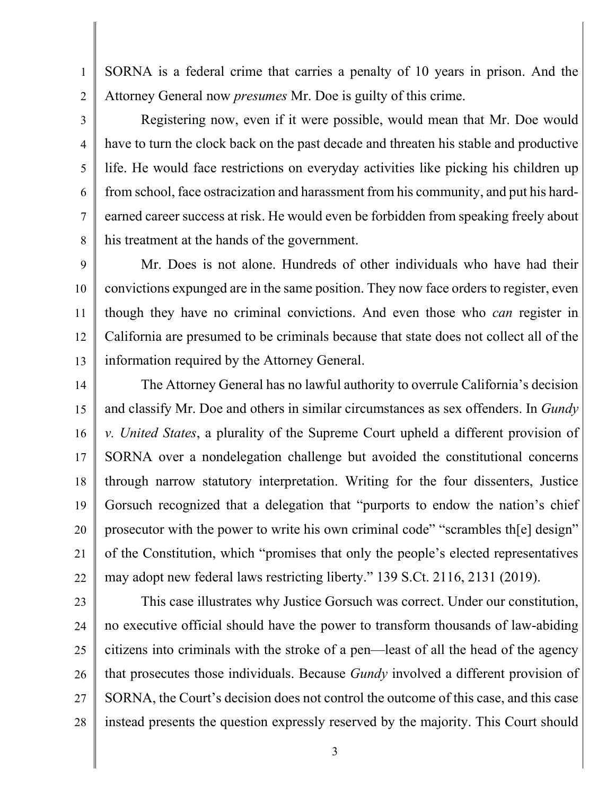SORNA is a federal crime that carries a penalty of 10 years in prison. And the Attorney General now *presumes* Mr. Doe is guilty of this crime.

1

2

3

4

5

6

7

8

Registering now, even if it were possible, would mean that Mr. Doe would have to turn the clock back on the past decade and threaten his stable and productive life. He would face restrictions on everyday activities like picking his children up from school, face ostracization and harassment from his community, and put his hardearned career success at risk. He would even be forbidden from speaking freely about his treatment at the hands of the government.

9 10 11 12 13 Mr. Does is not alone. Hundreds of other individuals who have had their convictions expunged are in the same position. They now face orders to register, even though they have no criminal convictions. And even those who *can* register in California are presumed to be criminals because that state does not collect all of the information required by the Attorney General.

14 15 16 17 18 19 20 21 22 The Attorney General has no lawful authority to overrule California's decision and classify Mr. Doe and others in similar circumstances as sex offenders. In *Gundy v. United States*, a plurality of the Supreme Court upheld a different provision of SORNA over a nondelegation challenge but avoided the constitutional concerns through narrow statutory interpretation. Writing for the four dissenters, Justice Gorsuch recognized that a delegation that "purports to endow the nation's chief prosecutor with the power to write his own criminal code" "scrambles th[e] design" of the Constitution, which "promises that only the people's elected representatives may adopt new federal laws restricting liberty." 139 S.Ct. 2116, 2131 (2019).

23 24 25 26 27 28 This case illustrates why Justice Gorsuch was correct. Under our constitution, no executive official should have the power to transform thousands of law-abiding citizens into criminals with the stroke of a pen—least of all the head of the agency that prosecutes those individuals. Because *Gundy* involved a different provision of SORNA, the Court's decision does not control the outcome of this case, and this case instead presents the question expressly reserved by the majority. This Court should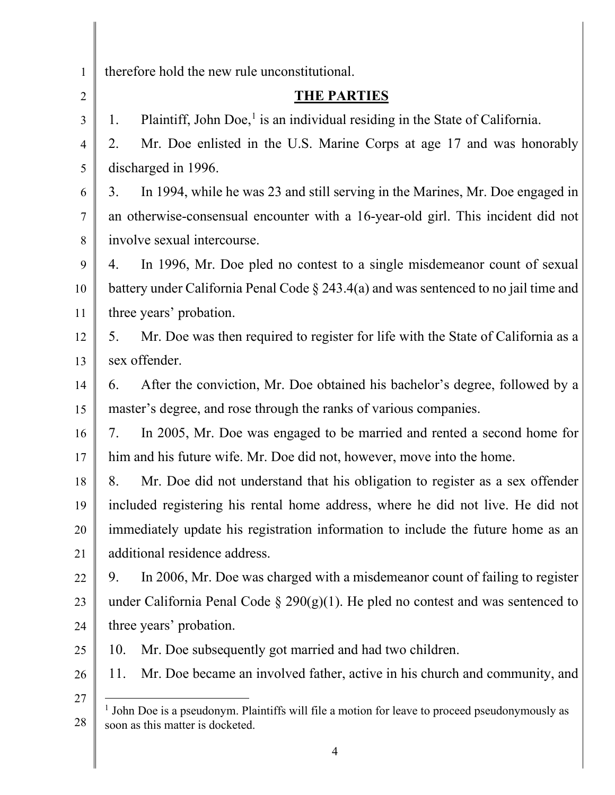<span id="page-3-0"></span>

| $\mathbf{1}$   | therefore hold the new rule unconstitutional.                                                  |
|----------------|------------------------------------------------------------------------------------------------|
| $\overline{2}$ | <b>THE PARTIES</b>                                                                             |
| 3              | Plaintiff, John Doe, $\frac{1}{1}$ is an individual residing in the State of California.<br>1. |
| $\overline{4}$ | Mr. Doe enlisted in the U.S. Marine Corps at age 17 and was honorably<br>2.                    |
| 5              | discharged in 1996.                                                                            |
| 6              | In 1994, while he was 23 and still serving in the Marines, Mr. Doe engaged in<br>3.            |
| $\overline{7}$ | an otherwise-consensual encounter with a 16-year-old girl. This incident did not               |
| 8              | involve sexual intercourse.                                                                    |
| 9              | In 1996, Mr. Doe pled no contest to a single misdemeanor count of sexual<br>4.                 |
| 10             | battery under California Penal Code $\S 243.4(a)$ and was sentenced to no jail time and        |
| 11             | three years' probation.                                                                        |
| 12             | Mr. Doe was then required to register for life with the State of California as a<br>5.         |
| 13             | sex offender.                                                                                  |
| 14             | After the conviction, Mr. Doe obtained his bachelor's degree, followed by a<br>6.              |
| 15             | master's degree, and rose through the ranks of various companies.                              |
| 16             | In 2005, Mr. Doe was engaged to be married and rented a second home for<br>7.                  |
| 17             | him and his future wife. Mr. Doe did not, however, move into the home.                         |
| 18             | 8.<br>Mr. Doe did not understand that his obligation to register as a sex offender             |
| 19             | included registering his rental home address, where he did not live. He did not                |
| 20             | immediately update his registration information to include the future home as an               |
| 21             | additional residence address.                                                                  |
| 22             | In 2006, Mr. Doe was charged with a misdemeanor count of failing to register<br>9.             |
| 23             | under California Penal Code $\S 290(g)(1)$ . He pled no contest and was sentenced to           |
| 24             | three years' probation.                                                                        |
| 25             | Mr. Doe subsequently got married and had two children.<br>10.                                  |
| 26             | Mr. Doe became an involved father, active in his church and community, and<br>11.              |
| 27             | John Doe is a pseudonym. Plaintiffs will file a motion for leave to proceed pseudonymously as  |
| 28             | soon as this matter is docketed.                                                               |
|                |                                                                                                |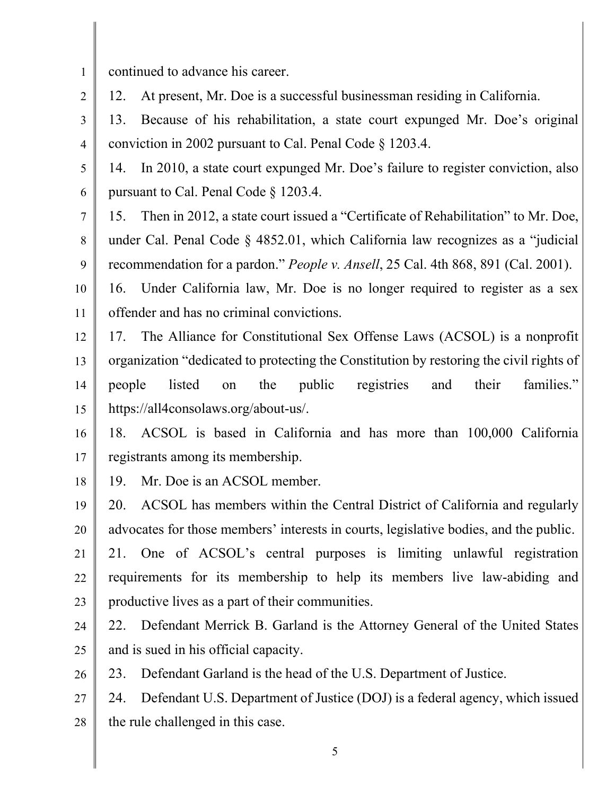continued to advance his career.

2 12. At present, Mr. Doe is a successful businessman residing in California.

3 4 13. Because of his rehabilitation, a state court expunged Mr. Doe's original conviction in 2002 pursuant to Cal. Penal Code § 1203.4.

5 6 14. In 2010, a state court expunged Mr. Doe's failure to register conviction, also pursuant to Cal. Penal Code § 1203.4.

7 8 9 15. Then in 2012, a state court issued a "Certificate of Rehabilitation" to Mr. Doe, under Cal. Penal Code § 4852.01, which California law recognizes as a "judicial recommendation for a pardon." *People v. Ansell*, 25 Cal. 4th 868, 891 (Cal. 2001).

10 11 16. Under California law, Mr. Doe is no longer required to register as a sex offender and has no criminal convictions.

12 13 14 15 17. The Alliance for Constitutional Sex Offense Laws (ACSOL) is a nonprofit organization "dedicated to protecting the Constitution by restoring the civil rights of people listed on the public registries and their families." https://all4consolaws.org/about-us/.

16 17 18. ACSOL is based in California and has more than 100,000 California registrants among its membership.

18 19. Mr. Doe is an ACSOL member.

19 20 21 20. ACSOL has members within the Central District of California and regularly advocates for those members' interests in courts, legislative bodies, and the public. 21. One of ACSOL's central purposes is limiting unlawful registration

22 23 requirements for its membership to help its members live law-abiding and productive lives as a part of their communities.

24 25 22. Defendant Merrick B. Garland is the Attorney General of the United States and is sued in his official capacity.

26 23. Defendant Garland is the head of the U.S. Department of Justice.

27 28 24. Defendant U.S. Department of Justice (DOJ) is a federal agency, which issued the rule challenged in this case.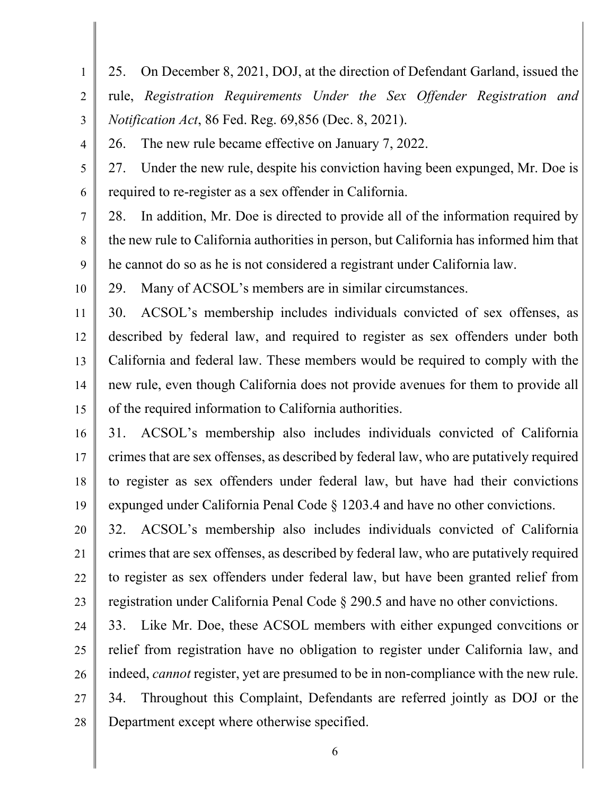1 2 3 4 5 6 7 8 9 10 11 12 13 14 15 16 17 25. On December 8, 2021, DOJ, at the direction of Defendant Garland, issued the rule, *Registration Requirements Under the Sex Offender Registration and Notification Act*, 86 Fed. Reg. 69,856 (Dec. 8, 2021). 26. The new rule became effective on January 7, 2022. 27. Under the new rule, despite his conviction having been expunged, Mr. Doe is required to re-register as a sex offender in California. 28. In addition, Mr. Doe is directed to provide all of the information required by the new rule to California authorities in person, but California has informed him that he cannot do so as he is not considered a registrant under California law. 29. Many of ACSOL's members are in similar circumstances. 30. ACSOL's membership includes individuals convicted of sex offenses, as described by federal law, and required to register as sex offenders under both California and federal law. These members would be required to comply with the new rule, even though California does not provide avenues for them to provide all of the required information to California authorities. 31. ACSOL's membership also includes individuals convicted of California crimes that are sex offenses, as described by federal law, who are putatively required

18 19 to register as sex offenders under federal law, but have had their convictions expunged under California Penal Code § 1203.4 and have no other convictions.

20 21 22 23 32. ACSOL's membership also includes individuals convicted of California crimes that are sex offenses, as described by federal law, who are putatively required to register as sex offenders under federal law, but have been granted relief from registration under California Penal Code § 290.5 and have no other convictions.

24 25 26 27 28 33. Like Mr. Doe, these ACSOL members with either expunged convcitions or relief from registration have no obligation to register under California law, and indeed, *cannot* register, yet are presumed to be in non-compliance with the new rule. 34. Throughout this Complaint, Defendants are referred jointly as DOJ or the Department except where otherwise specified.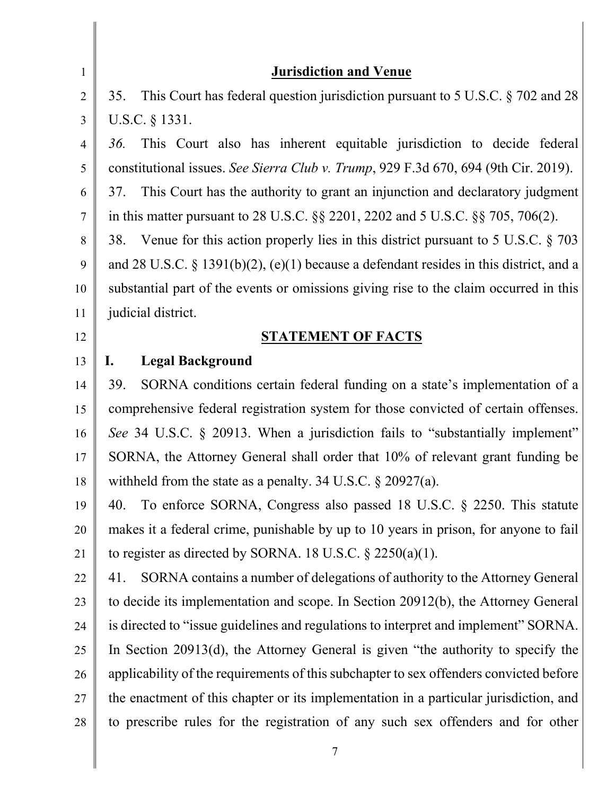| $\mathbf{1}$   | <b>Jurisdiction and Venue</b>                                                           |
|----------------|-----------------------------------------------------------------------------------------|
| $\overline{2}$ | This Court has federal question jurisdiction pursuant to 5 U.S.C. § 702 and 28<br>35.   |
| 3              | U.S.C. § 1331.                                                                          |
| $\overline{4}$ | This Court also has inherent equitable jurisdiction to decide federal<br>36.            |
| 5              | constitutional issues. See Sierra Club v. Trump, 929 F.3d 670, 694 (9th Cir. 2019).     |
| 6              | This Court has the authority to grant an injunction and declaratory judgment<br>37.     |
| $\tau$         | in this matter pursuant to 28 U.S.C. $\S$ § 2201, 2202 and 5 U.S.C. $\S$ § 705, 706(2). |
| 8              | 38. Venue for this action properly lies in this district pursuant to 5 U.S.C. § 703     |
| 9              | and 28 U.S.C. § 1391(b)(2), (e)(1) because a defendant resides in this district, and a  |
| 10             | substantial part of the events or omissions giving rise to the claim occurred in this   |
| 11             | judicial district.                                                                      |
| 12             | <b>STATEMENT OF FACTS</b>                                                               |
| 13             | <b>Legal Background</b><br>I.                                                           |
| 14             | SORNA conditions certain federal funding on a state's implementation of a<br>39.        |
| 15             | comprehensive federal registration system for those convicted of certain offenses.      |
| 16             | See 34 U.S.C. § 20913. When a jurisdiction fails to "substantially implement"           |
| 17             | SORNA, the Attorney General shall order that 10% of relevant grant funding be           |
| 18             | withheld from the state as a penalty. 34 U.S.C. $\S 20927(a)$ .                         |
| 19             | To enforce SORNA, Congress also passed 18 U.S.C. § 2250. This statute<br>40.            |
| 20             | makes it a federal crime, punishable by up to 10 years in prison, for anyone to fail    |
| 21             | to register as directed by SORNA. 18 U.S.C. $\S$ 2250(a)(1).                            |
| 22             | SORNA contains a number of delegations of authority to the Attorney General<br>41.      |
| 23             | to decide its implementation and scope. In Section 20912(b), the Attorney General       |
| 24             | is directed to "issue guidelines and regulations to interpret and implement" SORNA.     |
| 25             | In Section $20913(d)$ , the Attorney General is given "the authority to specify the     |
| 26             | applicability of the requirements of this subchapter to sex offenders convicted before  |
| 27             | the enactment of this chapter or its implementation in a particular jurisdiction, and   |
| 28             | to prescribe rules for the registration of any such sex offenders and for other         |
|                | $\overline{7}$                                                                          |

Ι

║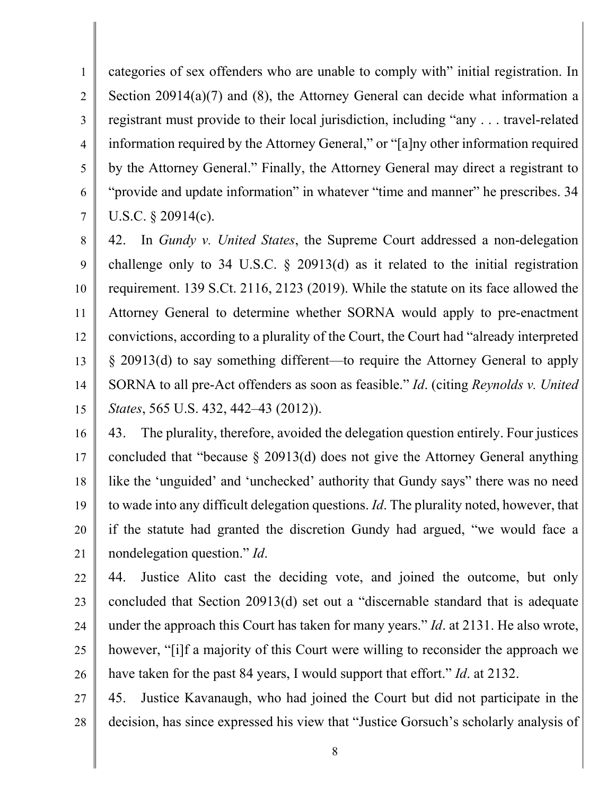1 2 3 4 5 6 7 categories of sex offenders who are unable to comply with" initial registration. In Section 20914(a)(7) and (8), the Attorney General can decide what information a registrant must provide to their local jurisdiction, including "any . . . travel-related information required by the Attorney General," or "[a]ny other information required by the Attorney General." Finally, the Attorney General may direct a registrant to "provide and update information" in whatever "time and manner" he prescribes. 34 U.S.C. § 20914(c).

8 9 10 11 12 13 14 15 42. In *Gundy v. United States*, the Supreme Court addressed a non-delegation challenge only to 34 U.S.C. § 20913(d) as it related to the initial registration requirement. 139 S.Ct. 2116, 2123 (2019). While the statute on its face allowed the Attorney General to determine whether SORNA would apply to pre-enactment convictions, according to a plurality of the Court, the Court had "already interpreted § 20913(d) to say something different—to require the Attorney General to apply SORNA to all pre-Act offenders as soon as feasible." *Id*. (citing *Reynolds v. United States*, 565 U.S. 432, 442–43 (2012)).

16 17 18 19 20 21 43. The plurality, therefore, avoided the delegation question entirely. Four justices concluded that "because § 20913(d) does not give the Attorney General anything like the 'unguided' and 'unchecked' authority that Gundy says" there was no need to wade into any difficult delegation questions. *Id*. The plurality noted, however, that if the statute had granted the discretion Gundy had argued, "we would face a nondelegation question." *Id*.

22 23 24 25 26 44. Justice Alito cast the deciding vote, and joined the outcome, but only concluded that Section 20913(d) set out a "discernable standard that is adequate under the approach this Court has taken for many years." *Id*. at 2131. He also wrote, however, "[i]f a majority of this Court were willing to reconsider the approach we have taken for the past 84 years, I would support that effort." *Id*. at 2132.

27 28 45. Justice Kavanaugh, who had joined the Court but did not participate in the decision, has since expressed his view that "Justice Gorsuch's scholarly analysis of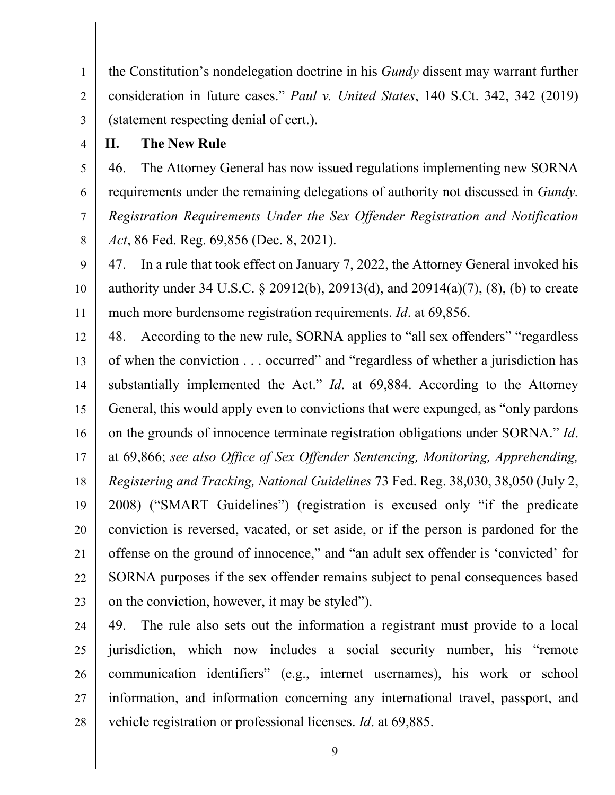1 2 3 the Constitution's nondelegation doctrine in his *Gundy* dissent may warrant further consideration in future cases." *Paul v. United States*, 140 S.Ct. 342, 342 (2019) (statement respecting denial of cert.).

4 **II. The New Rule** 

5 6 7 8 46. The Attorney General has now issued regulations implementing new SORNA requirements under the remaining delegations of authority not discussed in *Gundy. Registration Requirements Under the Sex Offender Registration and Notification Act*, 86 Fed. Reg. 69,856 (Dec. 8, 2021).

9 10 11 47. In a rule that took effect on January 7, 2022, the Attorney General invoked his authority under 34 U.S.C. § 20912(b), 20913(d), and 20914(a)(7), (8), (b) to create much more burdensome registration requirements. *Id*. at 69,856.

12 13 14 15 16 17 18 19 20 21 22 23 48. According to the new rule, SORNA applies to "all sex offenders" "regardless of when the conviction . . . occurred" and "regardless of whether a jurisdiction has substantially implemented the Act." *Id*. at 69,884. According to the Attorney General, this would apply even to convictions that were expunged, as "only pardons on the grounds of innocence terminate registration obligations under SORNA." *Id*. at 69,866; *see also Office of Sex Offender Sentencing, Monitoring, Apprehending, Registering and Tracking, National Guidelines* 73 Fed. Reg. 38,030, 38,050 (July 2, 2008) ("SMART Guidelines") (registration is excused only "if the predicate conviction is reversed, vacated, or set aside, or if the person is pardoned for the offense on the ground of innocence," and "an adult sex offender is 'convicted' for SORNA purposes if the sex offender remains subject to penal consequences based on the conviction, however, it may be styled").

24 25 26 27 28 49. The rule also sets out the information a registrant must provide to a local jurisdiction, which now includes a social security number, his "remote communication identifiers" (e.g., internet usernames), his work or school information, and information concerning any international travel, passport, and vehicle registration or professional licenses. *Id*. at 69,885.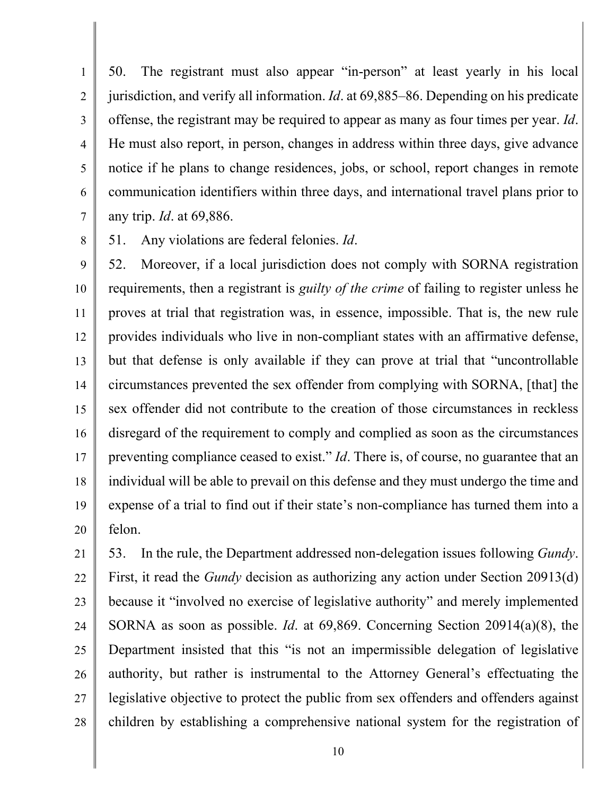1 2 3 4 5 6 7 50. The registrant must also appear "in-person" at least yearly in his local jurisdiction, and verify all information. *Id*. at 69,885–86. Depending on his predicate offense, the registrant may be required to appear as many as four times per year. *Id*. He must also report, in person, changes in address within three days, give advance notice if he plans to change residences, jobs, or school, report changes in remote communication identifiers within three days, and international travel plans prior to any trip. *Id*. at 69,886.

8 51. Any violations are federal felonies. *Id*.

9 10 11 12 13 14 15 16 17 18 19 20 52. Moreover, if a local jurisdiction does not comply with SORNA registration requirements, then a registrant is *guilty of the crime* of failing to register unless he proves at trial that registration was, in essence, impossible. That is, the new rule provides individuals who live in non-compliant states with an affirmative defense, but that defense is only available if they can prove at trial that "uncontrollable circumstances prevented the sex offender from complying with SORNA, [that] the sex offender did not contribute to the creation of those circumstances in reckless disregard of the requirement to comply and complied as soon as the circumstances preventing compliance ceased to exist." *Id*. There is, of course, no guarantee that an individual will be able to prevail on this defense and they must undergo the time and expense of a trial to find out if their state's non-compliance has turned them into a felon.

21 22 23 24 25 26 27 28 53. In the rule, the Department addressed non-delegation issues following *Gundy*. First, it read the *Gundy* decision as authorizing any action under Section 20913(d) because it "involved no exercise of legislative authority" and merely implemented SORNA as soon as possible. *Id*. at 69,869. Concerning Section 20914(a)(8), the Department insisted that this "is not an impermissible delegation of legislative authority, but rather is instrumental to the Attorney General's effectuating the legislative objective to protect the public from sex offenders and offenders against children by establishing a comprehensive national system for the registration of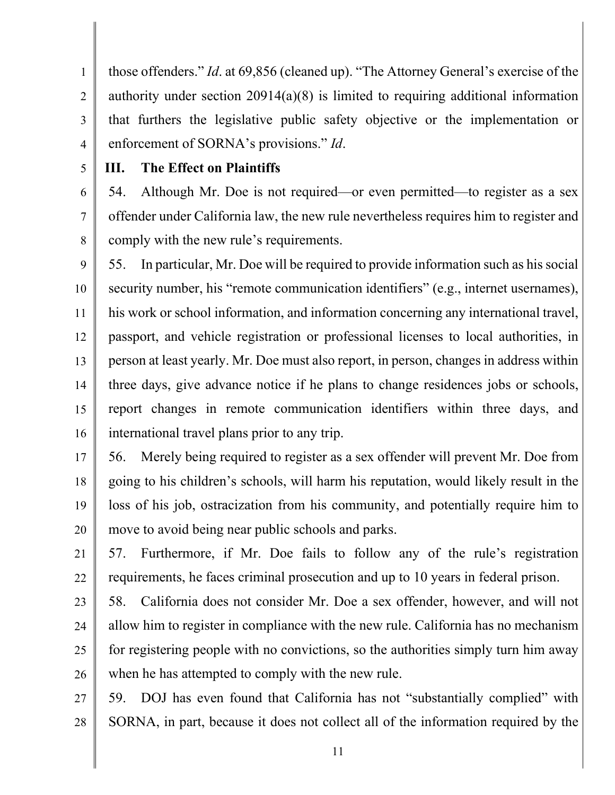1 2 3 4 those offenders." *Id*. at 69,856 (cleaned up). "The Attorney General's exercise of the authority under section 20914(a)(8) is limited to requiring additional information that furthers the legislative public safety objective or the implementation or enforcement of SORNA's provisions." *Id*.

5

### **III. The Effect on Plaintiffs**

6 7 8 54. Although Mr. Doe is not required—or even permitted—to register as a sex offender under California law, the new rule nevertheless requires him to register and comply with the new rule's requirements.

9 10 11 12 13 14 15 16 55. In particular, Mr. Doe will be required to provide information such as his social security number, his "remote communication identifiers" (e.g., internet usernames), his work or school information, and information concerning any international travel, passport, and vehicle registration or professional licenses to local authorities, in person at least yearly. Mr. Doe must also report, in person, changes in address within three days, give advance notice if he plans to change residences jobs or schools, report changes in remote communication identifiers within three days, and international travel plans prior to any trip.

17 18 19 20 56. Merely being required to register as a sex offender will prevent Mr. Doe from going to his children's schools, will harm his reputation, would likely result in the loss of his job, ostracization from his community, and potentially require him to move to avoid being near public schools and parks.

21 22 57. Furthermore, if Mr. Doe fails to follow any of the rule's registration requirements, he faces criminal prosecution and up to 10 years in federal prison.

23 24 25 26 58. California does not consider Mr. Doe a sex offender, however, and will not allow him to register in compliance with the new rule. California has no mechanism for registering people with no convictions, so the authorities simply turn him away when he has attempted to comply with the new rule.

27 28 59. DOJ has even found that California has not "substantially complied" with SORNA, in part, because it does not collect all of the information required by the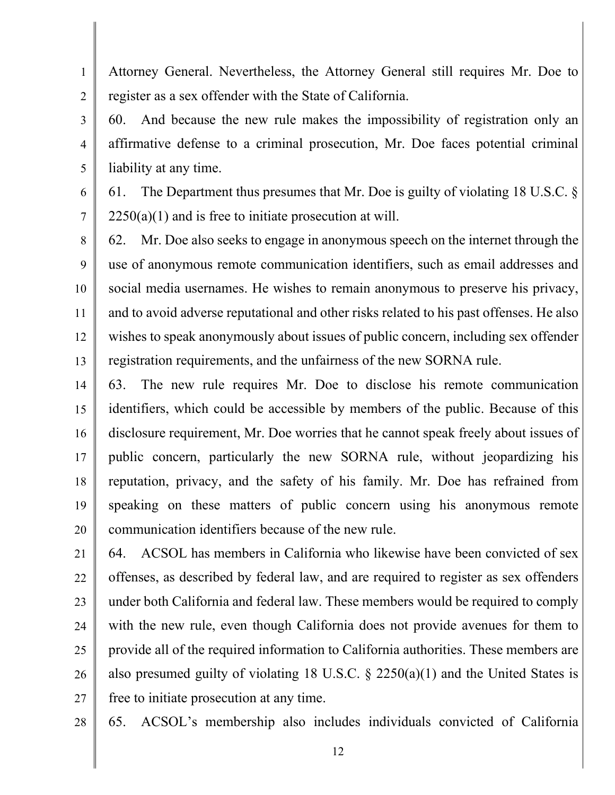1 2 Attorney General. Nevertheless, the Attorney General still requires Mr. Doe to register as a sex offender with the State of California.

3 4 5 60. And because the new rule makes the impossibility of registration only an affirmative defense to a criminal prosecution, Mr. Doe faces potential criminal liability at any time.

6 7 61. The Department thus presumes that Mr. Doe is guilty of violating 18 U.S.C. §  $2250(a)(1)$  and is free to initiate prosecution at will.

8 9 10 11 12 13 62. Mr. Doe also seeks to engage in anonymous speech on the internet through the use of anonymous remote communication identifiers, such as email addresses and social media usernames. He wishes to remain anonymous to preserve his privacy, and to avoid adverse reputational and other risks related to his past offenses. He also wishes to speak anonymously about issues of public concern, including sex offender registration requirements, and the unfairness of the new SORNA rule.

14 15 16 17 18 19 20 63. The new rule requires Mr. Doe to disclose his remote communication identifiers, which could be accessible by members of the public. Because of this disclosure requirement, Mr. Doe worries that he cannot speak freely about issues of public concern, particularly the new SORNA rule, without jeopardizing his reputation, privacy, and the safety of his family. Mr. Doe has refrained from speaking on these matters of public concern using his anonymous remote communication identifiers because of the new rule.

21 22 23 24 25 26 27 64. ACSOL has members in California who likewise have been convicted of sex offenses, as described by federal law, and are required to register as sex offenders under both California and federal law. These members would be required to comply with the new rule, even though California does not provide avenues for them to provide all of the required information to California authorities. These members are also presumed guilty of violating 18 U.S.C.  $\S$  2250(a)(1) and the United States is free to initiate prosecution at any time.

28

65. ACSOL's membership also includes individuals convicted of California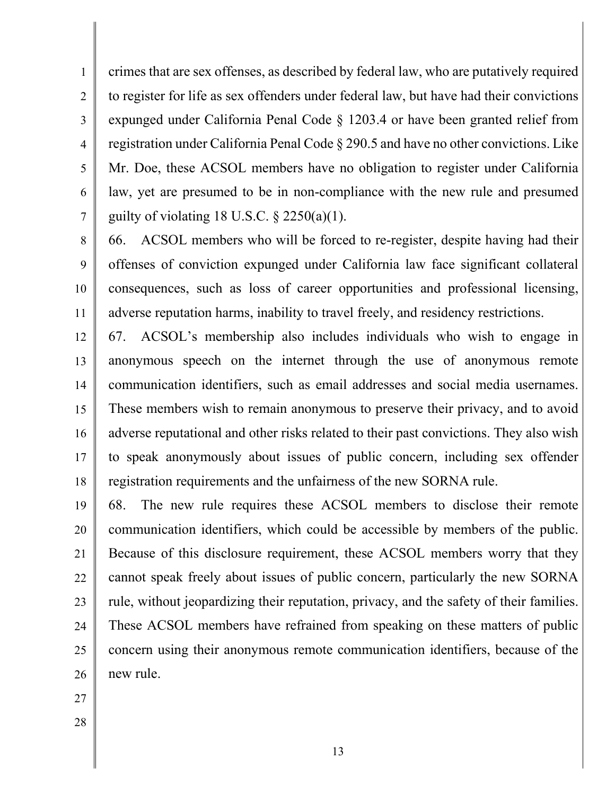1 2 3 4 5 6 7 crimes that are sex offenses, as described by federal law, who are putatively required to register for life as sex offenders under federal law, but have had their convictions expunged under California Penal Code § 1203.4 or have been granted relief from registration under California Penal Code § 290.5 and have no other convictions. Like Mr. Doe, these ACSOL members have no obligation to register under California law, yet are presumed to be in non-compliance with the new rule and presumed guilty of violating 18 U.S.C.  $\S 2250(a)(1)$ .

8 9 10 11 66. ACSOL members who will be forced to re-register, despite having had their offenses of conviction expunged under California law face significant collateral consequences, such as loss of career opportunities and professional licensing, adverse reputation harms, inability to travel freely, and residency restrictions.

12 13 14 15 16 17 18 67. ACSOL's membership also includes individuals who wish to engage in anonymous speech on the internet through the use of anonymous remote communication identifiers, such as email addresses and social media usernames. These members wish to remain anonymous to preserve their privacy, and to avoid adverse reputational and other risks related to their past convictions. They also wish to speak anonymously about issues of public concern, including sex offender registration requirements and the unfairness of the new SORNA rule.

19 20 21 22 23 24 25 26 68. The new rule requires these ACSOL members to disclose their remote communication identifiers, which could be accessible by members of the public. Because of this disclosure requirement, these ACSOL members worry that they cannot speak freely about issues of public concern, particularly the new SORNA rule, without jeopardizing their reputation, privacy, and the safety of their families. These ACSOL members have refrained from speaking on these matters of public concern using their anonymous remote communication identifiers, because of the new rule.

- 27
- 28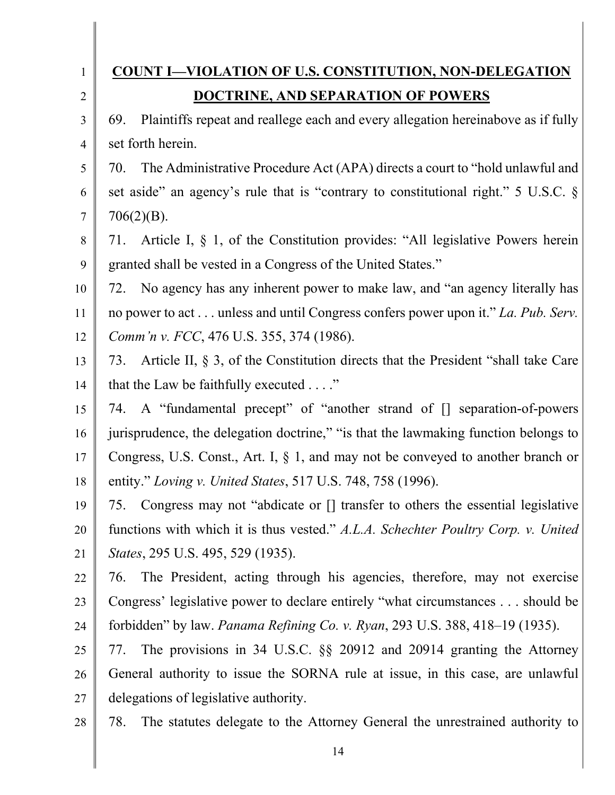| $\mathbf{1}$   | <b>COUNT I-VIOLATION OF U.S. CONSTITUTION, NON-DELEGATION</b>                           |
|----------------|-----------------------------------------------------------------------------------------|
| $\overline{2}$ | <b>DOCTRINE, AND SEPARATION OF POWERS</b>                                               |
| 3              | Plaintiffs repeat and reallege each and every allegation hereinabove as if fully<br>69. |
| $\overline{4}$ | set forth herein.                                                                       |
| 5              | The Administrative Procedure Act (APA) directs a court to "hold unlawful and<br>70.     |
| 6              | set aside" an agency's rule that is "contrary to constitutional right." 5 U.S.C. §      |
| $\tau$         | $706(2)(B)$ .                                                                           |
| 8              | Article I, § 1, of the Constitution provides: "All legislative Powers herein<br>71.     |
| 9              | granted shall be vested in a Congress of the United States."                            |
| 10             | No agency has any inherent power to make law, and "an agency literally has<br>72.       |
| 11             | no power to act unless and until Congress confers power upon it." La. Pub. Serv.        |
| 12             | Comm'n v. FCC, 476 U.S. 355, 374 (1986).                                                |
| 13             | 73. Article II, § 3, of the Constitution directs that the President "shall take Care"   |
| 14             | that the Law be faithfully executed $\dots$ ."                                          |
| 15             | 74. A "fundamental precept" of "another strand of [] separation-of-powers               |
| 16             | jurisprudence, the delegation doctrine," "is that the lawmaking function belongs to     |
| 17             | Congress, U.S. Const., Art. I, $\S$ 1, and may not be conveyed to another branch or     |
| 18             | entity." Loving v. United States, 517 U.S. 748, 758 (1996).                             |
| 19             | 75. Congress may not "abdicate or [] transfer to others the essential legislative       |
| 20             | functions with which it is thus vested." A.L.A. Schechter Poultry Corp. v. United       |
| 21             | <i>States</i> , 295 U.S. 495, 529 (1935).                                               |
| 22             | The President, acting through his agencies, therefore, may not exercise<br>76.          |
| 23             | Congress' legislative power to declare entirely "what circumstances should be           |
| 24             | forbidden" by law. Panama Refining Co. v. Ryan, 293 U.S. 388, 418–19 (1935).            |
| 25             | The provisions in 34 U.S.C. §§ 20912 and 20914 granting the Attorney<br>77.             |
| 26             | General authority to issue the SORNA rule at issue, in this case, are unlawful          |
| 27             | delegations of legislative authority.                                                   |
| 28             | The statutes delegate to the Attorney General the unrestrained authority to<br>78.      |

 $\mathsf{l}$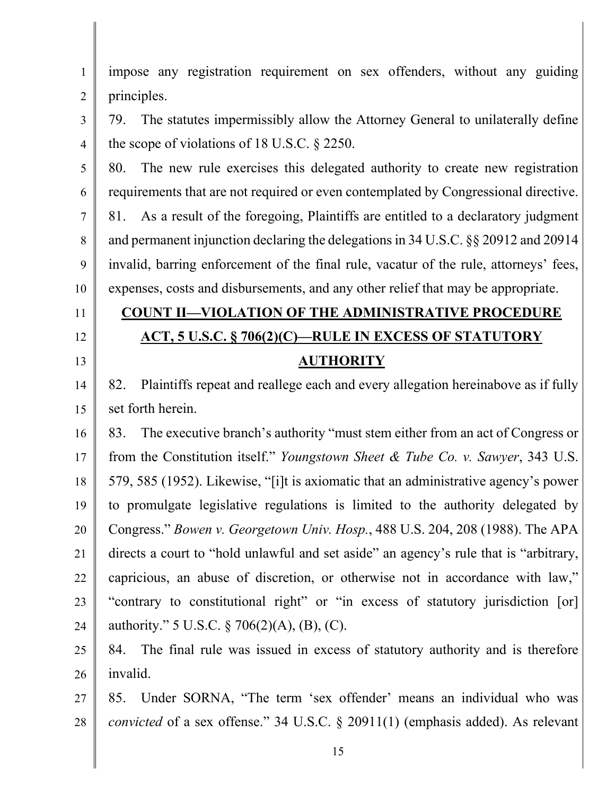| $\mathbf{1}$   | impose any registration requirement on sex offenders, without any guiding                 |
|----------------|-------------------------------------------------------------------------------------------|
| $\overline{2}$ | principles.                                                                               |
| 3              | The statutes impermissibly allow the Attorney General to unilaterally define<br>79.       |
| $\overline{4}$ | the scope of violations of 18 U.S.C. $\S$ 2250.                                           |
| 5              | The new rule exercises this delegated authority to create new registration<br>80.         |
| 6              | requirements that are not required or even contemplated by Congressional directive.       |
| $\tau$         | As a result of the foregoing, Plaintiffs are entitled to a declaratory judgment<br>81.    |
| 8              | and permanent injunction declaring the delegations in 34 U.S.C. §§ 20912 and 20914        |
| 9              | invalid, barring enforcement of the final rule, vacatur of the rule, attorneys' fees,     |
| 10             | expenses, costs and disbursements, and any other relief that may be appropriate.          |
| 11             | <b>COUNT II-VIOLATION OF THE ADMINISTRATIVE PROCEDURE</b>                                 |
| 12             | <b>ACT, 5 U.S.C. § 706(2)(C)—RULE IN EXCESS OF STATUTORY</b>                              |
| 13             | <b>AUTHORITY</b>                                                                          |
| 14             | Plaintiffs repeat and reallege each and every allegation hereinabove as if fully<br>82.   |
| 15             | set forth herein.                                                                         |
| 16             | The executive branch's authority "must stem either from an act of Congress or<br>83.      |
| 17             | from the Constitution itself." Youngstown Sheet & Tube Co. v. Sawyer, 343 U.S.            |
| 18             | 579, 585 (1952). Likewise, "[i]t is axiomatic that an administrative agency's power       |
| 19             | to promulgate legislative regulations is limited to the authority delegated by            |
| 20             | Congress." Bowen v. Georgetown Univ. Hosp., 488 U.S. 204, 208 (1988). The APA             |
| 21             | directs a court to "hold unlawful and set aside" an agency's rule that is "arbitrary,     |
| 22             | capricious, an abuse of discretion, or otherwise not in accordance with law,"             |
| 23             | "contrary to constitutional right" or "in excess of statutory jurisdiction [or]           |
| 24             | authority." 5 U.S.C. $\S 706(2)(A)$ , (B), (C).                                           |
| 25             | 84. The final rule was issued in excess of statutory authority and is therefore           |
| 26             | invalid.                                                                                  |
| 27             | Under SORNA, "The term 'sex offender' means an individual who was<br>85.                  |
| 28             | <i>convicted</i> of a sex offense." 34 U.S.C. $\S$ 20911(1) (emphasis added). As relevant |
|                | 15                                                                                        |
|                |                                                                                           |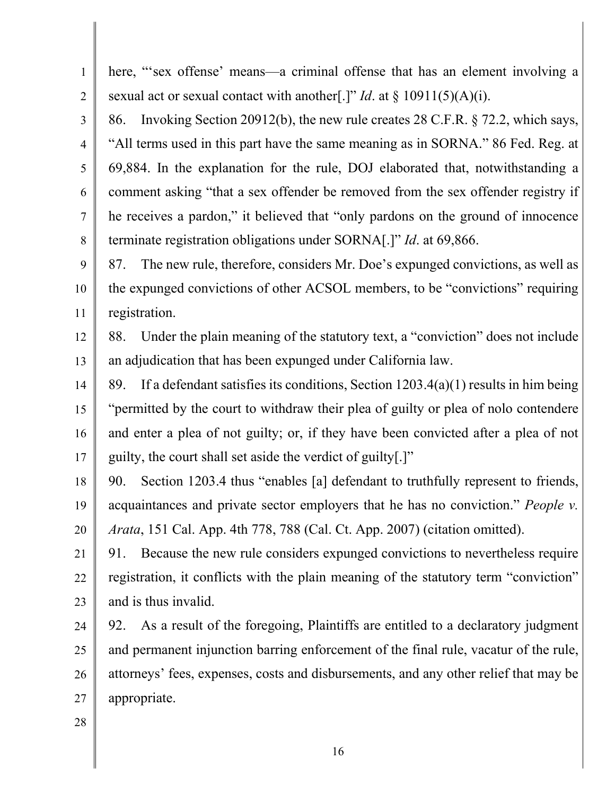1 2 3 4 5 6 7 8 9 10 11 12 13 14 15 16 17 18 19 20 21 22 23 24 25 26 27 28 here, "'sex offense' means—a criminal offense that has an element involving a sexual act or sexual contact with another[.]" *Id*. at § 10911(5)(A)(i). 86. Invoking Section 20912(b), the new rule creates 28 C.F.R. § 72.2, which says, "All terms used in this part have the same meaning as in SORNA." 86 Fed. Reg. at 69,884. In the explanation for the rule, DOJ elaborated that, notwithstanding a comment asking "that a sex offender be removed from the sex offender registry if he receives a pardon," it believed that "only pardons on the ground of innocence terminate registration obligations under SORNA[.]" *Id*. at 69,866. 87. The new rule, therefore, considers Mr. Doe's expunged convictions, as well as the expunged convictions of other ACSOL members, to be "convictions" requiring registration. 88. Under the plain meaning of the statutory text, a "conviction" does not include an adjudication that has been expunged under California law. 89. If a defendant satisfies its conditions, Section 1203.4(a)(1) results in him being "permitted by the court to withdraw their plea of guilty or plea of nolo contendere and enter a plea of not guilty; or, if they have been convicted after a plea of not guilty, the court shall set aside the verdict of guilty[.]" 90. Section 1203.4 thus "enables [a] defendant to truthfully represent to friends, acquaintances and private sector employers that he has no conviction." *People v. Arata*, 151 Cal. App. 4th 778, 788 (Cal. Ct. App. 2007) (citation omitted). 91. Because the new rule considers expunged convictions to nevertheless require registration, it conflicts with the plain meaning of the statutory term "conviction" and is thus invalid. 92. As a result of the foregoing, Plaintiffs are entitled to a declaratory judgment and permanent injunction barring enforcement of the final rule, vacatur of the rule, attorneys' fees, expenses, costs and disbursements, and any other relief that may be appropriate.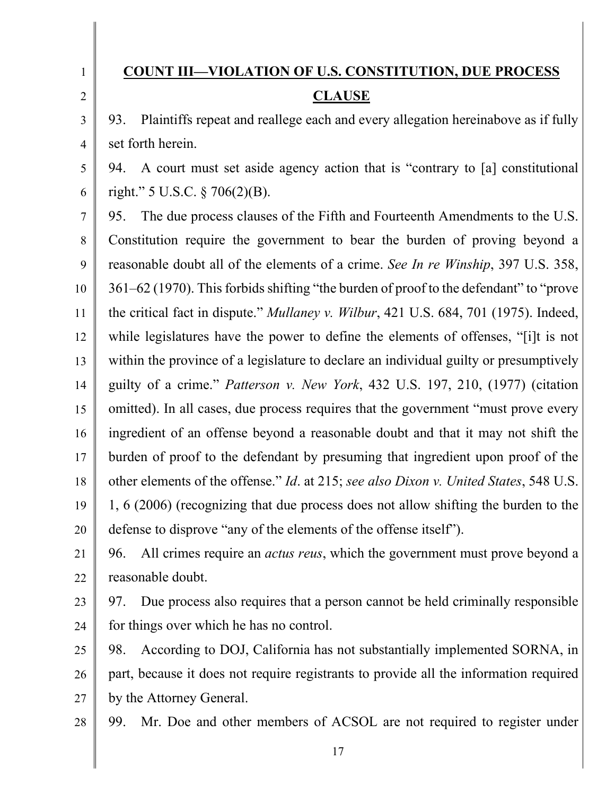3

4

1

# **COUNT III—VIOLATION OF U.S. CONSTITUTION, DUE PROCESS CLAUSE**

93. Plaintiffs repeat and reallege each and every allegation hereinabove as if fully set forth herein.

5 6 94. A court must set aside agency action that is "contrary to [a] constitutional right." 5 U.S.C. § 706(2)(B).

7 8 9 10 11 12 13 14 15 16 17 18 19 20 95. The due process clauses of the Fifth and Fourteenth Amendments to the U.S. Constitution require the government to bear the burden of proving beyond a reasonable doubt all of the elements of a crime. *See In re Winship*, 397 U.S. 358, 361–62 (1970). This forbids shifting "the burden of proof to the defendant" to "prove the critical fact in dispute." *Mullaney v. Wilbur*, 421 U.S. 684, 701 (1975). Indeed, while legislatures have the power to define the elements of offenses, "[i]t is not within the province of a legislature to declare an individual guilty or presumptively guilty of a crime." *Patterson v. New York*, 432 U.S. 197, 210, (1977) (citation omitted). In all cases, due process requires that the government "must prove every ingredient of an offense beyond a reasonable doubt and that it may not shift the burden of proof to the defendant by presuming that ingredient upon proof of the other elements of the offense." *Id*. at 215; *see also Dixon v. United States*, 548 U.S. 1, 6 (2006) (recognizing that due process does not allow shifting the burden to the defense to disprove "any of the elements of the offense itself").

21 22 96. All crimes require an *actus reus*, which the government must prove beyond a reasonable doubt.

23 24 97. Due process also requires that a person cannot be held criminally responsible for things over which he has no control.

25 26 27 98. According to DOJ, California has not substantially implemented SORNA, in part, because it does not require registrants to provide all the information required by the Attorney General.

28 99. Mr. Doe and other members of ACSOL are not required to register under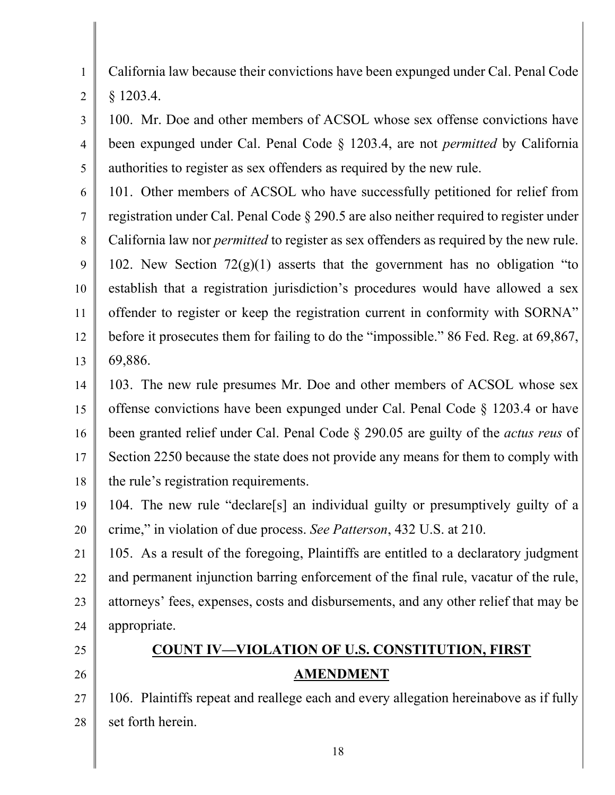1 2 California law because their convictions have been expunged under Cal. Penal Code § 1203.4.

3 4 5 100. Mr. Doe and other members of ACSOL whose sex offense convictions have been expunged under Cal. Penal Code § 1203.4, are not *permitted* by California authorities to register as sex offenders as required by the new rule.

6 7 8 9 10 11 12 13 101. Other members of ACSOL who have successfully petitioned for relief from registration under Cal. Penal Code § 290.5 are also neither required to register under California law nor *permitted* to register as sex offenders as required by the new rule. 102. New Section  $72(g)(1)$  asserts that the government has no obligation "to establish that a registration jurisdiction's procedures would have allowed a sex offender to register or keep the registration current in conformity with SORNA" before it prosecutes them for failing to do the "impossible." 86 Fed. Reg. at 69,867, 69,886.

14 15 16 17 18 103. The new rule presumes Mr. Doe and other members of ACSOL whose sex offense convictions have been expunged under Cal. Penal Code § 1203.4 or have been granted relief under Cal. Penal Code § 290.05 are guilty of the *actus reus* of Section 2250 because the state does not provide any means for them to comply with the rule's registration requirements.

19 20 104. The new rule "declare[s] an individual guilty or presumptively guilty of a crime," in violation of due process. *See Patterson*, 432 U.S. at 210.

21 22 23 24 105. As a result of the foregoing, Plaintiffs are entitled to a declaratory judgment and permanent injunction barring enforcement of the final rule, vacatur of the rule, attorneys' fees, expenses, costs and disbursements, and any other relief that may be appropriate.

25

### 26

## **COUNT IV—VIOLATION OF U.S. CONSTITUTION, FIRST AMENDMENT**

27 28 106. Plaintiffs repeat and reallege each and every allegation hereinabove as if fully set forth herein.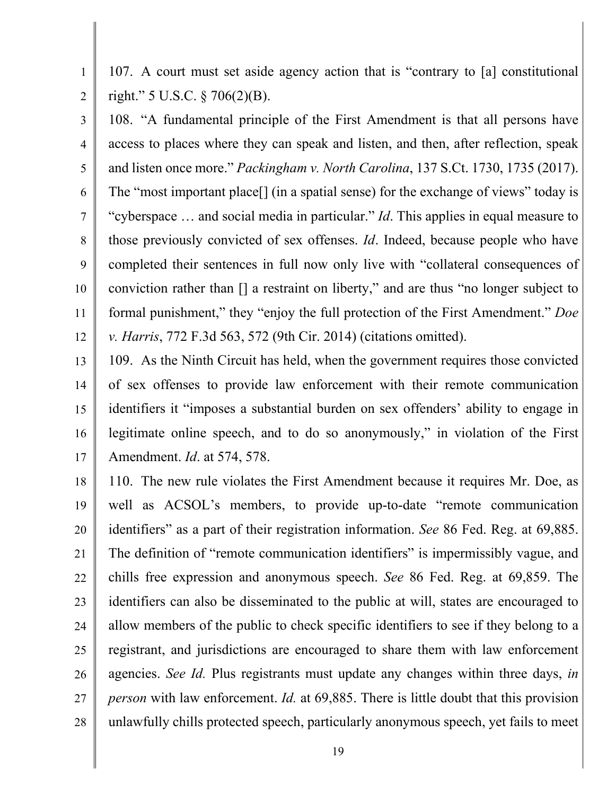107. A court must set aside agency action that is "contrary to [a] constitutional right." 5 U.S.C. § 706(2)(B).

1

2

3 4 5 6 7 8 9 10 11 12 108. "A fundamental principle of the First Amendment is that all persons have access to places where they can speak and listen, and then, after reflection, speak and listen once more." *Packingham v. North Carolina*, 137 S.Ct. 1730, 1735 (2017). The "most important place[] (in a spatial sense) for the exchange of views" today is "cyberspace … and social media in particular." *Id*. This applies in equal measure to those previously convicted of sex offenses. *Id*. Indeed, because people who have completed their sentences in full now only live with "collateral consequences of conviction rather than [] a restraint on liberty," and are thus "no longer subject to formal punishment," they "enjoy the full protection of the First Amendment." *Doe v. Harris*, 772 F.3d 563, 572 (9th Cir. 2014) (citations omitted).

13 14 15 16 17 109. As the Ninth Circuit has held, when the government requires those convicted of sex offenses to provide law enforcement with their remote communication identifiers it "imposes a substantial burden on sex offenders' ability to engage in legitimate online speech, and to do so anonymously," in violation of the First Amendment. *Id*. at 574, 578.

18 19 20 21 22 23 24 25 26 27 28 110. The new rule violates the First Amendment because it requires Mr. Doe, as well as ACSOL's members, to provide up-to-date "remote communication identifiers" as a part of their registration information. *See* 86 Fed. Reg. at 69,885. The definition of "remote communication identifiers" is impermissibly vague, and chills free expression and anonymous speech. *See* 86 Fed. Reg. at 69,859. The identifiers can also be disseminated to the public at will, states are encouraged to allow members of the public to check specific identifiers to see if they belong to a registrant, and jurisdictions are encouraged to share them with law enforcement agencies. *See Id.* Plus registrants must update any changes within three days, *in person* with law enforcement. *Id.* at 69,885. There is little doubt that this provision unlawfully chills protected speech, particularly anonymous speech, yet fails to meet